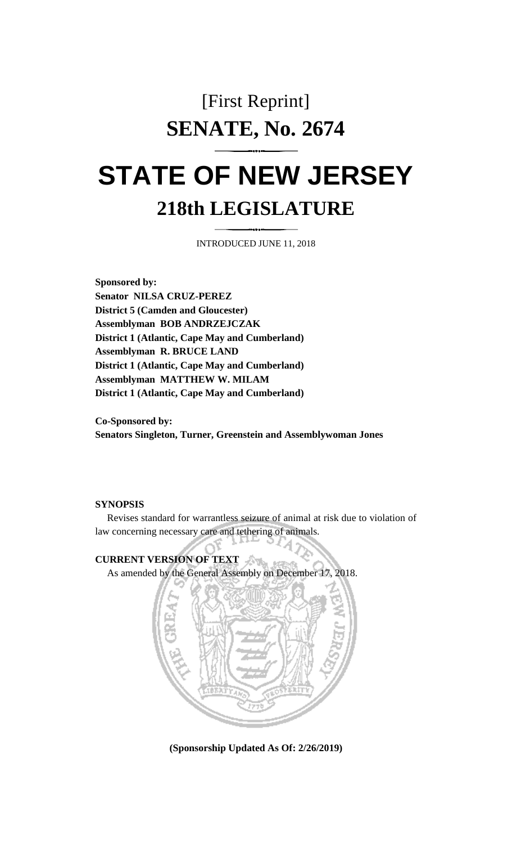## [First Reprint] **SENATE, No. 2674**

## **STATE OF NEW JERSEY 218th LEGISLATURE**

INTRODUCED JUNE 11, 2018

**Sponsored by: Senator NILSA CRUZ-PEREZ District 5 (Camden and Gloucester) Assemblyman BOB ANDRZEJCZAK District 1 (Atlantic, Cape May and Cumberland) Assemblyman R. BRUCE LAND District 1 (Atlantic, Cape May and Cumberland) Assemblyman MATTHEW W. MILAM District 1 (Atlantic, Cape May and Cumberland)**

**Co-Sponsored by: Senators Singleton, Turner, Greenstein and Assemblywoman Jones**

## **SYNOPSIS**

Revises standard for warrantless seizure of animal at risk due to violation of law concerning necessary care and tethering of animals.

## **CURRENT VERSION OF TEXT**

As amended by the General Assembly on December 17, 2018.



**(Sponsorship Updated As Of: 2/26/2019)**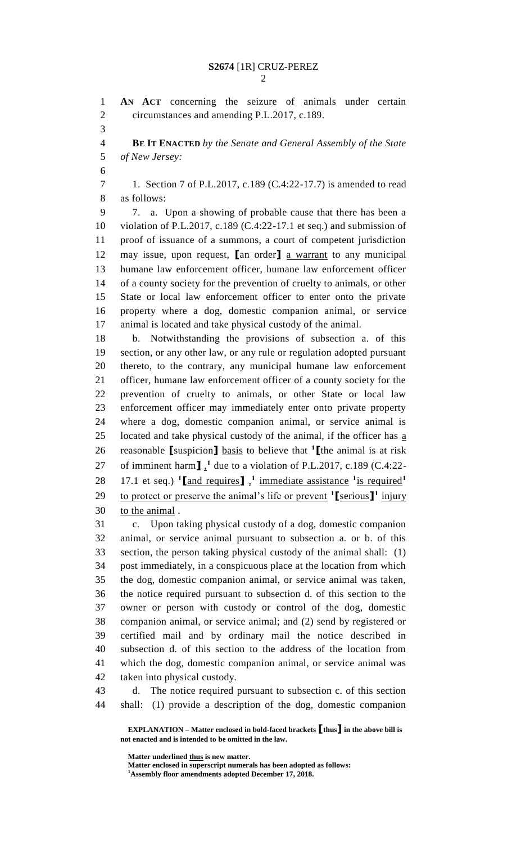**AN ACT** concerning the seizure of animals under certain circumstances and amending P.L.2017, c.189. **BE IT ENACTED** *by the Senate and General Assembly of the State of New Jersey:* 1. Section 7 of P.L.2017, c.189 (C.4:22-17.7) is amended to read as follows: 7. a. Upon a showing of probable cause that there has been a violation of P.L.2017, c.189 (C.4:22-17.1 et seq.) and submission of proof of issuance of a summons, a court of competent jurisdiction may issue, upon request, **[**an order**]** a warrant to any municipal humane law enforcement officer, humane law enforcement officer of a county society for the prevention of cruelty to animals, or other State or local law enforcement officer to enter onto the private property where a dog, domestic companion animal, or service animal is located and take physical custody of the animal. b. Notwithstanding the provisions of subsection a. of this section, or any other law, or any rule or regulation adopted pursuant thereto, to the contrary, any municipal humane law enforcement officer, humane law enforcement officer of a county society for the prevention of cruelty to animals, or other State or local law enforcement officer may immediately enter onto private property where a dog, domestic companion animal, or service animal is 25 located and take physical custody of the animal, if the officer has  $\underline{a}$ reasonable **[**suspicion**]** basis to believe that **<sup>1</sup> [**the animal is at risk 27 of imminent harm $\int_1^1$  due to a violation of P.L.2017, c.189 (C.4:22-17.1 et seq.) **<sup>1</sup> [**and requires**]** , **1** immediate assistance **1** is required**<sup>1</sup>** 29 to protect or preserve the animal's life or prevent  $\binom{1}{1}$  <u>serious</u><sup>1</sup> injury to the animal . c. Upon taking physical custody of a dog, domestic companion animal, or service animal pursuant to subsection a. or b. of this section, the person taking physical custody of the animal shall: (1) post immediately, in a conspicuous place at the location from which the dog, domestic companion animal, or service animal was taken, the notice required pursuant to subsection d. of this section to the owner or person with custody or control of the dog, domestic companion animal, or service animal; and (2) send by registered or certified mail and by ordinary mail the notice described in subsection d. of this section to the address of the location from which the dog, domestic companion animal, or service animal was

taken into physical custody.

 d. The notice required pursuant to subsection c. of this section shall: (1) provide a description of the dog, domestic companion

**EXPLANATION – Matter enclosed in bold-faced brackets [thus] in the above bill is not enacted and is intended to be omitted in the law.**

**Matter underlined thus is new matter.**

**Matter enclosed in superscript numerals has been adopted as follows:**

**Assembly floor amendments adopted December 17, 2018.**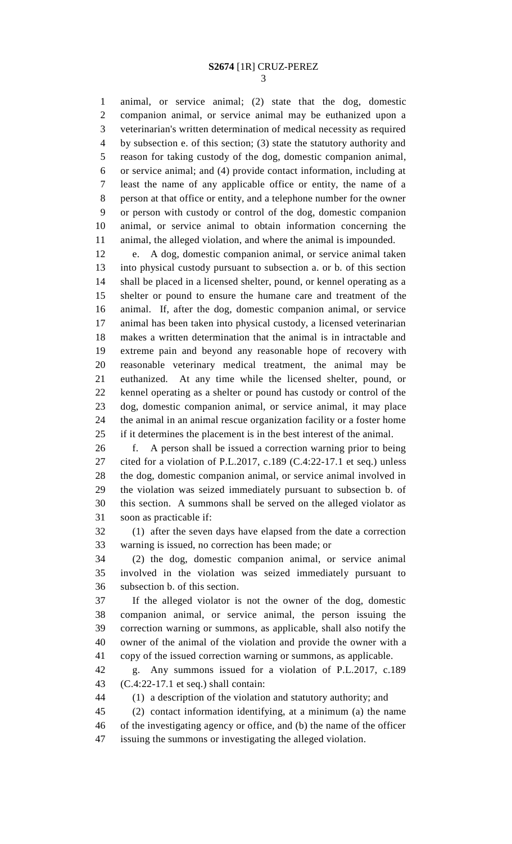animal, or service animal; (2) state that the dog, domestic companion animal, or service animal may be euthanized upon a veterinarian's written determination of medical necessity as required by subsection e. of this section; (3) state the statutory authority and reason for taking custody of the dog, domestic companion animal, or service animal; and (4) provide contact information, including at least the name of any applicable office or entity, the name of a person at that office or entity, and a telephone number for the owner or person with custody or control of the dog, domestic companion animal, or service animal to obtain information concerning the animal, the alleged violation, and where the animal is impounded.

 e. A dog, domestic companion animal, or service animal taken into physical custody pursuant to subsection a. or b. of this section shall be placed in a licensed shelter, pound, or kennel operating as a shelter or pound to ensure the humane care and treatment of the animal. If, after the dog, domestic companion animal, or service animal has been taken into physical custody, a licensed veterinarian makes a written determination that the animal is in intractable and extreme pain and beyond any reasonable hope of recovery with reasonable veterinary medical treatment, the animal may be euthanized. At any time while the licensed shelter, pound, or kennel operating as a shelter or pound has custody or control of the dog, domestic companion animal, or service animal, it may place the animal in an animal rescue organization facility or a foster home if it determines the placement is in the best interest of the animal.

 f. A person shall be issued a correction warning prior to being cited for a violation of P.L.2017, c.189 (C.4:22-17.1 et seq.) unless the dog, domestic companion animal, or service animal involved in the violation was seized immediately pursuant to subsection b. of this section. A summons shall be served on the alleged violator as soon as practicable if:

 (1) after the seven days have elapsed from the date a correction warning is issued, no correction has been made; or

 (2) the dog, domestic companion animal, or service animal involved in the violation was seized immediately pursuant to subsection b. of this section.

 If the alleged violator is not the owner of the dog, domestic companion animal, or service animal, the person issuing the correction warning or summons, as applicable, shall also notify the owner of the animal of the violation and provide the owner with a copy of the issued correction warning or summons, as applicable.

 g. Any summons issued for a violation of P.L.2017, c.189 (C.4:22-17.1 et seq.) shall contain:

(1) a description of the violation and statutory authority; and

 (2) contact information identifying, at a minimum (a) the name of the investigating agency or office, and (b) the name of the officer

issuing the summons or investigating the alleged violation.